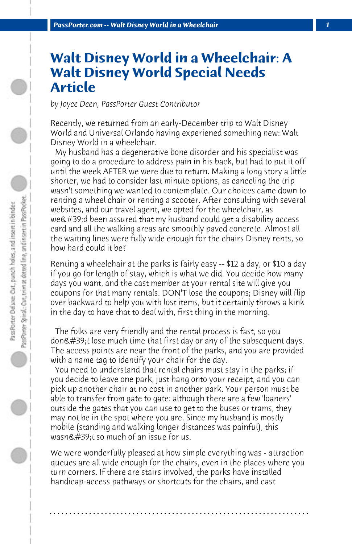## **Walt Disney World in a Wheelchair: A Walt Disney World Special Needs Article**

*by Joyce Deen, PassPorter Guest Contributor*

Recently, we returned from an early-December trip to Walt Disney World and Universal Orlando having experiened something new: Walt Disney World in a wheelchair.

 My husband has a degenerative bone disorder and his specialist was going to do a procedure to address pain in his back, but had to put it off until the week AFTER we were due to return. Making a long story a little shorter, we had to consider last minute options, as canceling the trip wasn't something we wanted to contemplate. Our choices came down to renting a wheel chair or renting a scooter. After consulting with several websites, and our travel agent, we opted for the wheelchair, as we $\&$ #39;d been assured that my husband could get a disability access card and all the walking areas are smoothly paved concrete. Almost all the waiting lines were fully wide enough for the chairs Disney rents, so how hard could it be?

Renting a wheelchair at the parks is fairly easy -- \$12 a day, or \$10 a day if you go for length of stay, which is what we did. You decide how many days you want, and the cast member at your rental site will give you coupons for that many rentals. DON'T lose the coupons; Disney will flip over backward to help you with lost items, but it certainly throws a kink in the day to have that to deal with, first thing in the morning.

 The folks are very friendly and the rental process is fast, so you don't lose much time that first day or any of the subsequent days. The access points are near the front of the parks, and you are provided with a name tag to identify your chair for the day.

 You need to understand that rental chairs must stay in the parks; if you decide to leave one park, just hang onto your receipt, and you can pick up another chair at no cost in another park. Your person must be able to transfer from gate to gate: although there are a few 'loaners' outside the gates that you can use to get to the buses or trams, they may not be in the spot where you are. Since my husband is mostly mobile (standing and walking longer distances was painful), this wasn $\&$ #39;t so much of an issue for us.

We were wonderfully pleased at how simple everything was - attraction queues are all wide enough for the chairs, even in the places where you turn corners. If there are stairs involved, the parks have installed handicap-access pathways or shortcuts for the chairs, and cast

**. . . . . . . . . . . . . . . . . . . . . . . . . . . . . . . . . . . . . . . . . . . . . . . . . . . . . . . . . . . . . . . . . .**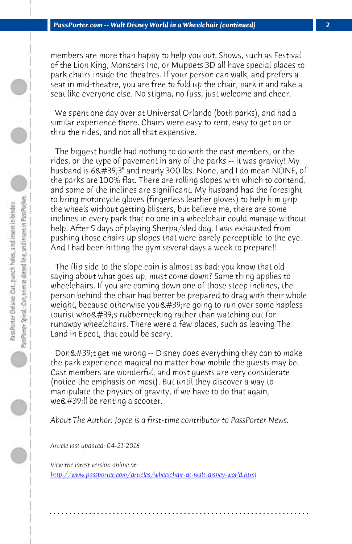*PassPorter.com -- Walt Disney World in a Wheelchair (continued) 2*

members are more than happy to help you out. Shows, such as Festival of the Lion King, Monsters Inc, or Muppets 3D all have special places to park chairs inside the theatres. If your person can walk, and prefers a seat in mid-theatre, you are free to fold up the chair, park it and take a seat like everyone else. No stigma, no fuss, just welcome and cheer.

 We spent one day over at Universal Orlando (both parks), and had a similar experience there. Chairs were easy to rent, easy to get on or thru the rides, and not all that expensive.

 The biggest hurdle had nothing to do with the cast members, or the rides, or the type of pavement in any of the parks -- it was gravity! My husband is  $6.439;3'$  and nearly 300 lbs. None, and I do mean NONE, of the parks are 100% flat. There are rolling slopes with which to contend, and some of the inclines are significant. My husband had the foresight to bring motorcycle gloves (fingerless leather gloves) to help him grip the wheels without getting blisters, but believe me, there are some inclines in every park that no one in a wheelchair could manage without help. After 5 days of playing Sherpa/sled dog, I was exhausted from pushing those chairs up slopes that were barely perceptible to the eye. And I had been hitting the gym several days a week to prepare!!

 The flip side to the slope coin is almost as bad: you know that old saying about what goes up, must come down? Same thing applies to wheelchairs. If you are coming down one of those steep inclines, the person behind the chair had better be prepared to drag with their whole weight, because otherwise you ' re going to run over some hapless [tourist who's rubbernecking rather than watching ou](http://www.passporter.com/articles/wheelchair-at-walt-disney-world.php)t for runaway wheelchairs. There were a few places, such as leaving The Land in Epcot, that could be scary.

Don't get me wrong -- Disney does everything they can to make the park experience magical no matter how mobile the guests may be. Cast members are wonderful, and most guests are very considerate (notice the emphasis on most). But until they discover a way to manipulate the physics of gravity, if we have to do that again, we'll be renting a scooter.

*About The Author: Joyce is a first-time contributor to PassPorter News.*

**. . . . . . . . . . . . . . . . . . . . . . . . . . . . . . . . . . . . . . . . . . . . . . . . . . . . . . . . . . . . . . . . . .**

*Article last updated: 04-21-2016*

*View the latest version online at: http://www.passporter.com/articles/wheelchair-at-walt-disney-world.html*